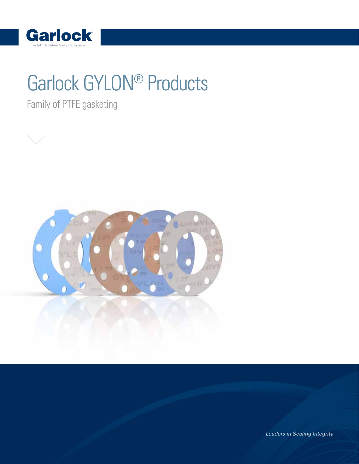

# Garlock GYLON® Products

Family of PTFE gasketing



Leaders in Sealing Integrity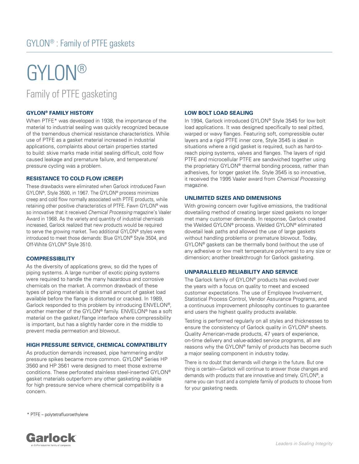# GYLON® Family of PTFE gasketing

### **GYLON® FAMILY HISTORY**

When PTFE\* was developed in 1938, the importance of the material to industrial sealing was quickly recognized because of the tremendous chemical resistance characteristics. While use of PTFE as a gasket material increased in industrial applications, complaints about certain properties started to build: skive marks made initial sealing difficult, cold flow caused leakage and premature failure, and temperature/ pressure cycling was a problem.

### **RESISTANCE TO COLD FLOW (CREEP)**

These drawbacks were eliminated when Garlock introduced Fawn GYLON®, Style 3500, in 1967. The GYLON® process minimizes creep and cold flow normally associated with PTFE products, while retaining other positive characteristics of PTFE. Fawn GYLON® was so innovative that it received Chemical Processing magazine's Vaaler Award in 1968. As the variety and quantity of industrial chemicals increased, Garlock realized that new products would be required to serve the growing market. Two additional GYLON® styles were introduced to meet those demands: Blue GYLON® Style 3504, and Off-White GYLON® Style 3510.

### **COMPRESSIBILITY**

As the diversity of applications grew, so did the types of piping systems. A large number of exotic piping systems were required to handle the many hazardous and corrosive chemicals on the market. A common drawback of these types of piping materials is the small amount of gasket load available before the flange is distorted or cracked. In 1989, Garlock responded to this problem by introducing ENVELON®, another member of the GYLON® family. ENVELON® has a soft material on the gasket/flange interface where compressibility is important, but has a slightly harder core in the middle to prevent media permeation and blowout.

### **HIGH PRESSURE SERVICE, CHEMICAL COMPATIBILITY**

As production demands increased, pipe hammering and/or pressure spikes became more common. GYLON® Series HP 3560 and HP 3561 were designed to meet those extreme conditions. These perforated stainless steel-inserted GYLON® gasket materials outperform any other gasketing available for high pressure service where chemical compatibility is a concern.

### **LOW BOLT LOAD SEALING**

In 1994, Garlock introduced GYLON® Style 3545 for low bolt load applications. It was designed specifically to seal pitted, warped or wavy flanges. Featuring soft, compressible outer layers and a rigid PTFE inner core, Style 3545 is ideal in situations where a rigid gasket is required, such as hard-toreach piping systems, valves and flanges. The layers of rigid PTFE and microcellular PTFE are sandwiched together using the proprietary GYLON® thermal bonding process, rather than adhesives, for longer gasket life. Style 3545 is so innovative, it received the 1995 Vaaler award from Chemical Processing magazine.

### **UNLIMITED SIZES AND DIMENSIONS**

With growing concern over fugitive emissions, the traditional dovetailing method of creating larger sized gaskets no longer met many customer demands. In response, Garlock created the Welded GYLON® process. Welded GYLON® eliminated dovetail leak paths and allowed the use of large gaskets without handling problems or premature blowout. Today, GYLON® gaskets can be thermally bond (without the use of any adhesive or low melt temperature polymers) to any size or dimension; another breakthrough for Garlock gasketing.

### **UNPARALLELED RELIABILITY AND SERVICE**

The Garlock family of GYLON® products has evolved over the years with a focus on quality to meet and exceed customer expectations. The use of Employee Involvement, Statistical Process Control, Vendor Assurance Programs, and a continuous improvement philosophy continues to guarantee end users the highest quality products available.

Testing is performed regularly on all styles and thicknesses to ensure the consistency of Garlock quality in GYLON® sheets. Quality American-made products, 47 years of experience, on-time delivery and value-added service programs, all are reasons why the GYLON® family of products has become such a major sealing component in industry today.

There is no doubt that demands will change in the future. But one thing is certain—Garlock will continue to answer those changes and demands with products that are innovative and timely. GYLON®, a name you can trust and a complete family of products to choose from for your gasketing needs.

\* PTFE – polytetrafluoroethylene

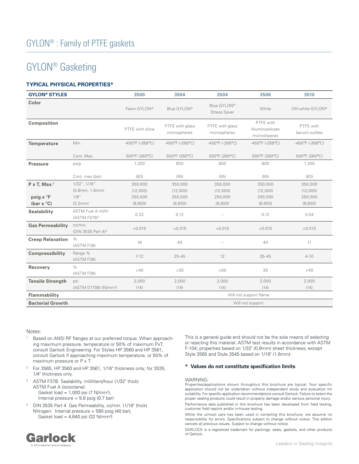# GYLON® Gasketing

# **TYPICAL PHYSICAL PROPERTIES\***

|                                   | 3500                                        | 3504                            | 3504                               | 3506                                         | 3510                                       |
|-----------------------------------|---------------------------------------------|---------------------------------|------------------------------------|----------------------------------------------|--------------------------------------------|
|                                   | Fawn GYLON®                                 | Blue GYLON®                     | Blue GYLON®<br><b>Stress Saver</b> | White                                        | Off-white GYLON®                           |
|                                   | PTFE with silica                            | PTFE with glass<br>microspheres | PTFE with glass<br>microspheres    | PTFE with<br>Aluminosilicate<br>microshperes | PTFE with<br>barium sulfate                |
| Min.                              | $-450^{\circ}F$ (-268°C)                    | $-450^{\circ}F$ (-268°C)        | $-450^{\circ}F$ (-268°C)           | $-450^{\circ}F( -268^{\circ}C)$              | $-450^{\circ}F( -268^{\circ}C)$            |
| Cont. Max.                        | 500°F (260°C)                               | 500°F (260°C)                   | 500°F (260°C)                      | 500°F (260°C)                                | 500°F (260°C)                              |
| psig.                             | 1,200                                       | 800                             | 800                                | 800                                          | 1,200                                      |
| Cont. max (bar)                   | (83)                                        | (55)                            | (55)                               | (55)                                         | (83)                                       |
| 1/32", 1/16"                      | 350,000                                     | 350,000                         | 350,000                            | 350,000                                      | 350,000                                    |
| $(0.8$ mm, $1.6$ mm $)$           | (12,000)                                    | (12,000)                        | (12,000)                           | (12,000)                                     | (12,000)                                   |
| $1/8$ "                           | 250,000                                     | 250,000                         | 250,000                            | 250,000                                      | 250,000                                    |
| (3.2mm)                           | (8,600)                                     | (8,600)                         | (8,600)                            | (8,600)                                      | (8,600)                                    |
| ASTM Fuel A ml/hr<br>(ASTM F37B)3 | 0.22                                        | 0.12                            | $\sim$                             | 0.12                                         | 0.04                                       |
| (DIN 3535 Part 4) <sup>4</sup>    | < 0.015                                     | < 0.015                         | < 0.015                            | < 0.015                                      | < 0.015                                    |
| (ASTM F38)                        | 18                                          | 40                              | $\sim$ $-$                         | 40                                           | 11                                         |
| Range %<br>(ASTM F36)             | $7 - 12$                                    | $25 - 45$                       | 12                                 | $25 - 45$                                    | $4 - 10$                                   |
| $\%$<br>(ASTM F36)                | >40                                         | $>30$                           | >50                                | 30                                           | >40                                        |
|                                   | 2,000                                       | 2,000                           | 2,000                              | 2,000                                        | 2,000                                      |
| (ASTM D1708) (N/mm <sup>2</sup> ) | (14)                                        | (14)                            | (14)                               | (14)                                         | (14)                                       |
|                                   |                                             |                                 |                                    |                                              |                                            |
|                                   |                                             |                                 |                                    |                                              |                                            |
|                                   | cc/min.<br><b>Creep Relaxation %</b><br>psi |                                 |                                    |                                              | Will not support flame<br>Will not support |

#### Notes:

- 1 Based on ANSI RF flanges at our preferred torque. When approaching maximum pressure, temperature or 50% of maximum PxT, consult Garlock Engineering. For Styles HP 3560 and HP 3561, consult Garlock if approaching maximum temperature, or 50% of maximum pressure or P x T.
- <sup>2</sup> For 3565, HP 3560 and HP 3561, 1/16" thickness only; for 3535, 1/4" thickness only.
- <sup>3</sup> ASTM F37B Sealability, milliliters/hour (1/32" thick) ASTM Fuel A (isooctane): Gasket load = 1,000 psi (7  $N/mm^2$ ), Internal pressure = 9.8 psig (0.7 bar)
- 4 DIN 3535 Part 4 Gas Permeability, cc/min. (1/16" thick) Nitrogen: Internal pressure = 580 psig (40 bar), Gasket load = 4,640 psi (32 N/mm2 )

This is a general guide and should not be the sole means of selecting or rejecting this material. ASTM test results in accordance with ASTM F-104; properties based on 1/32" (0.8mm) sheet thickness, except Style 3565 and Style 3545 based on 1/16" (1.6mm).

### **\* Values do not constitute specification limits**

#### WARNING:

Properties/applications shown throughout this brochure are typical. Your specific application should not be undertaken without independent study and evaluation for suitability. For specific application recommendations consult Garlock. Failure to select the proper sealing products could result in property damage and/or serious personal injury. Performance data published in this brochure has been developed from field testing, customer field reports and/or in-house testing.

While the utmost care has been used in compiling this brochure, we assume no responsibility for errors. Specifications subject to change without notice. This edition cancels all previous issues. Subject to change without notice.

GARLOCK is a registered trademark for packings, seals, gaskets, and other products of Garlock.

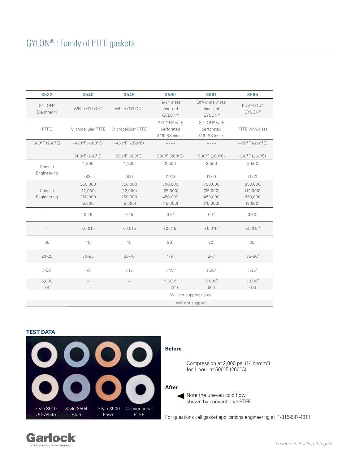| 3522                       | 3540                                    | 3545                     | 3560                                       | 3561                                         | 3565                             |
|----------------------------|-----------------------------------------|--------------------------|--------------------------------------------|----------------------------------------------|----------------------------------|
| <b>GYLON®</b><br>Diaphragm | White GYLON®                            | White GYLON®             | Fawn metal<br>inserted<br><b>GYLON®</b>    | Off-white metal<br>inserted<br><b>GYLON®</b> | <b>ENVELON®</b><br><b>GYLON®</b> |
| PTFE                       | Microcellular PTFE   Microcellular PTFE |                          | GYLON® with<br>perforated<br>316LSS insert | GYLON® with<br>perforated<br>316LSS insert   | PTFE with glass                  |
| 500°F (260°C)              | $-450^{\circ}F( -268^{\circ}C)$         | $-450^{\circ}F$ (-268°C) | $\cdots \cdots \cdots \cdots$              | $\cdots \cdots \cdots \cdots$                | $-450^{\circ}$ F (-268°C)        |
|                            | 500°F (260°C)                           | 500°F (260°C)            | 500°F (260°C)                              | 500°F (260°C)                                | 500°F (260°C)                    |
| Consult                    | 1,200                                   | 1,200                    | 2,500                                      | 2,500                                        | 2,500                            |
| Engineering                | (83)                                    | (83)                     | (172)                                      | (172)                                        | (172)                            |
|                            | 350,000                                 | 350,000                  | 700,000                                    | 700,000                                      | 350,000                          |
| Consult                    | (12,000)                                | (12,000)                 | (25,000)                                   | (25,000)                                     | (12,000)                         |
| Engineering                | 250,000                                 | 250,000                  | 450,000                                    | 450,000                                      | 250,000                          |
|                            | (8,600)                                 | (8,600)                  | (15,000)                                   | (15,000)                                     | (8,600)                          |
| $\sim$ $-$                 | 0.25                                    | 0.15                     | 0.2 <sup>2</sup>                           | 0.1 <sup>2</sup>                             | $0.33^{2}$                       |
| $\sim$ $-$                 | < 0.015                                 | < 0.015                  | $< 0.015^2$                                | $< 0.015^2$                                  | $< 0.015^2$                      |
| 35                         | 10                                      | 15                       | 20 <sup>2</sup>                            | 20 <sup>2</sup>                              | 35 <sup>2</sup>                  |
| $20 - 25$                  | 70-85                                   | 60-70                    | $4 - 9^2$                                  | $3 - 7^2$                                    | $35 - 50^2$                      |
| $>50$                      | $>\!8$                                  | $>15$                    | $>45^2$                                    | $>50^{2}$                                    | $>35^2$                          |
| 5,000                      | $- -$                                   | $\sim$ $-$               | 5,000 <sup>2</sup>                         | 5,000 <sup>2</sup>                           | 1,800 <sup>2</sup>               |
| (34)                       | $- -$                                   | $-  \,$                  | (34)                                       | (34)                                         | (13)                             |
|                            |                                         |                          | Will not support flame                     |                                              |                                  |
|                            |                                         |                          | Will not support                           |                                              |                                  |
|                            |                                         |                          |                                            |                                              |                                  |

### **TEST DATA**





Leaders in Sealing Integrity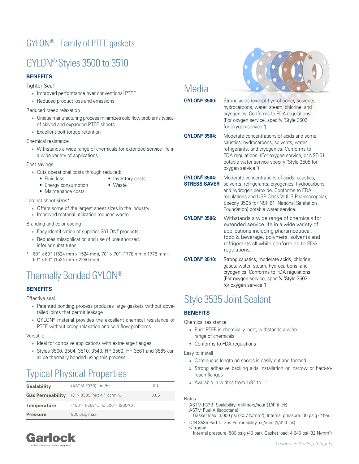# GYLON® : Family of PTFE gaskets

# GYLON® Styles 3500 to 3510

# **BENEFITS**

### Tighter Seal

- » Improved performance over conventional PTFE
- » Reduced product loss and emissions

### Reduced creep relaxation

- » Unique manufacturing process minimizes cold flow problems typical of skived and expanded PTFE sheets
- » Excellent bolt torque retention

### Chemical resistance

» Withstands a wide range of chemicals for extended service life in a wide variety of applications

### Cost savings

- » Cuts operational costs through reduced:
	- Fluid loss Inventory costs
		-
	- Energy consumption Waste • Maintenance costs

### Largest sheet sizes\*

- » Offers some of the largest sheet sizes in the industry
- » Improved material utilization reduces waste

### Branding and color coding

- » Easy identification of superior GYLON® products
- » Reduces misapplication and use of unauthorized, inferior substitutes
- \* 60" x 60" (1524 mm x 1524 mm), 70" x 70" (1778 mm x 1778 mm), 60" x 90" (1524 mm x 2286 mm)

# Thermally Bonded GYLON®

# **BENEFITS**

Effective seal

- » Patented bonding process produces large gaskets without dovetailed joints that permit leakage
- » GYLON® material provides the excellent chemical resistance of PTFE without creep relaxation and cold flow problems

### Versatile

- » Ideal for corrosive applications with extra-large flanges
- » Styles 3500, 3504, 3510, 3540, HP 3560, HP 3561 and 3565 can all be thermally bonded using this process

# Typical Physical Properties

| <b>Sealability</b>      | (ASTM F37B) <sup>1</sup> ml/hr             | 0.1  |
|-------------------------|--------------------------------------------|------|
| <b>Gas Permeability</b> | (DIN 3535 Part 4) <sup>2</sup> cc/min.     | 0.05 |
| <b>Temperature</b>      | $-450^{\circ}$ F (-268°C) to 500°F (260°C) |      |
| <b>Pressure</b>         | 800 psig max.                              |      |

# **Media**

**GYLON® 3500:** Strong acids (except hydrofluoric), solvents, hydrocarbons, water, steam, chlorine, and cryogenics. Conforms to FDA regulations. (For oxygen service, specify "Style 3502 for oxygen service.")

**GYLON® 3504:** Moderate concentrations of acids and some caustics, hydrocarbons, solvents, water, refrigerants, and cryogenics. Conforms to FDA regulations. (For oxygen service, or NSF-61 potable water service specify "Style 3505 for oxygen service.")

**GYLON® 3504:** Moderate concentrations of acids, caustics, solvents, refrigerants, cryogenics, hydrocarbons and hydrogen peroxide. Conforms to FDA regulations and USP Class VI (US Pharmacopeia), Specify 3505 for NSF 61 (National Sanitation Foundation) potable water service. **STRESS SAVER**

**GYLON® 3506:** Withstands a wide range of chemicals for extended service life in a wide variety of applications including pharamceutical, food & beverage, polymers, solvents and refrigerants all while conforming to FDA regulations.

**GYLON® 3510:** Strong caustics, moderate acids, chlorine, gases, water, steam, hydrocarbons, and cryogenics. Conforms to FDA regulations. (For oxygen service, specify "Style 3503 for oxygen service.")

# Style 3535 Joint Sealant

# **BENEFITS**

Chemical resistance

- » Pure PTFE is chemically inert, withstands a wide range of chemicals
- » Conforms to FDA regulations

### Easy to install

- » Continuous length on spools is easily cut and formed
- » Strong adhesive backing aids installation on narrow or hard-toreach flanges
- » Available in widths from 1/8" to 1"

#### Notes:

- ASTM F37B Sealability, milliliters/hour (1/4" thick) ASTM Fuel A (isooctane):
- Gasket load: 3,000 psi (20.7 N/mm2 ), Internal pressure: 30 psig (2 bar) <sup>2</sup> DIN 3535 Part 4 Gas Permeability, cc/min. (1/4" thick) Nitrogen:
	- Internal pressure: 580 psig (40 bar), Gasket load: 4,640 psi (32 N/mm<sup>2</sup>)

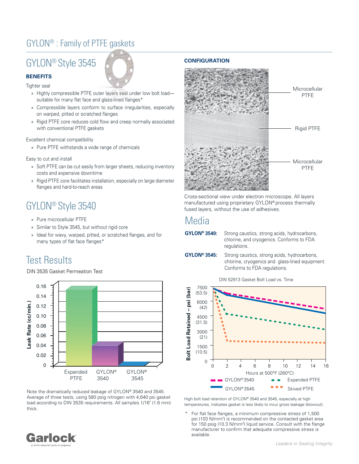# GYLON® : Family of PTFE gaskets

# GYLON® Style 3545



**BENEFITS** Tighter seal

- » Highly compressible PTFE outer layers seal under low bolt load suitable for many flat face and glass-lined flanges\*
- » Compressible layers conform to surface irregularities, especially on warped, pitted or scratched flanges
- » Rigid PTFE core reduces cold flow and creep normally associated with conventional PTFE gaskets

Excellent chemical compatibility

» Pure PTFE withstands a wide range of chemicals

Easy to cut and install

- » Soft PTFE can be cut easily from larger sheets, reducing inventory costs and expensive downtime
- » Rigid PTFE core facilitates installation, especially on large diameter flanges and hard-to-reach areas

# GYLON® Style 3540

- » Pure microcellular PTFE
- » Similar to Style 3545, but without rigid core
- » Ideal for wavy, warped, pitted, or scratched flanges, and for many types of flat face flanges\*

# Test Results

DIN 3535 Gasket Permeation Test



Note the dramatically reduced leakage of GYLON® 3540 and 3545. Average of three tests, using 580 psig nitrogen with 4,640 psi gasket load according to DIN 3535 requirements. All samples 1/16" (1.6 mm) thick.

### **CONFIGURATION**



Cross-sectional view under electron microscope. All layers manufactured using proprietary GYLON® process thermally fused layers, without the use of adhesives.

# Media

**GYLON® 3540:** Strong caustics, strong acids, hydrocarbons, chlorine, and cryogenics. Conforms to FDA regulations.

**GYLON® 3545:** Strong caustics, strong acids, hydrocarbons, chlorine, cryogenics and glass-lined equipment. Conforms to FDA regulations.

DIN 52913 Gasket Bolt Load vs. Time



High bolt load retention of GYLON® 3540 and 3545, especially at high temperatures, indicates gasket is less likely to incur gross leakage (blowout).

For flat face flanges, a minimum compressive stress of 1,500 psi (103 N/mm2 ) is recommended on the contacted gasket area for 150 psig (10.3 N/mm<sup>2</sup>) liquid service. Consult with the flange manufacturer to confirm that adequate compressive stress is available.

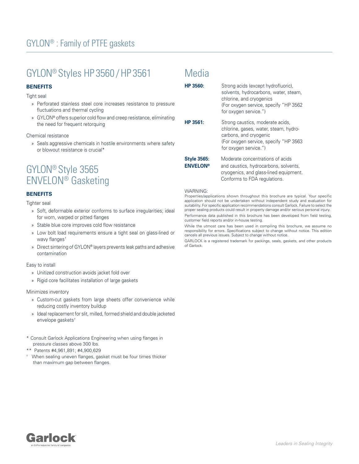# GYLON® Styles HP 3560 /HP 3561

# **BENEFITS**

Tight seal

- » Perforated stainless steel core increases resistance to pressure fluctuations and thermal cycling
- » GYLON® offers superior cold flow and creep resistance, eliminating the need for frequent retorquing

Chemical resistance

» Seals aggressive chemicals in hostile environments where safety or blowout resistance is crucial\*

# GYLON® Style 3565 ENVELON® Gasketing

# **BENEFITS**

Tighter seal

- » Soft, deformable exterior conforms to surface irregularities; ideal for worn, warped or pitted flanges
- » Stable blue core improves cold flow resistance
- » Low bolt load requirements ensure a tight seal on glass-lined or wavy flanges<sup>+</sup>
- » Direct sintering of GYLON® layers prevents leak paths and adhesive contamination

### Easy to install

- » Unitized construction avoids jacket fold over
- » Rigid core facilitates installation of large gaskets

#### Minimizes inventory

- » Custom-cut gaskets from large sheets offer convenience while reducing costly inventory buildup
- » Ideal replacement for slit, milled, formed shield and double jacketed envelope gaskets†
- \* Consult Garlock Applications Engineering when using flanges in pressure classes above 300 lbs.
- \*\* Patents #4,961,891; #4,900,629
- † When sealing uneven flanges, gasket must be four times thicker than maximum gap between flanges.

# **Media**

| HP 3560:                              | Strong acids (except hydrofluoric).<br>solvents, hydrocarbons, water, steam,<br>chlorine, and cryogenics<br>(For oxygen service, specify "HP 3562<br>for oxygen service.") |
|---------------------------------------|----------------------------------------------------------------------------------------------------------------------------------------------------------------------------|
| HP 3561:                              | Strong caustics, moderate acids,<br>chlorine, gases, water, steam, hydro-<br>carbons, and cryogenic<br>(For oxygen service, specify "HP 3563<br>for oxygen service.")      |
| <b>Style 3565:</b><br><b>ENVELON®</b> | Moderate concentrations of acids<br>and caustics, hydrocarbons, solvents,<br>cryogenics, and glass-lined equipment.<br>Conforms to FDA regulations.                        |

#### WARNING:

Properties/applications shown throughout this brochure are typical. Your specific application should not be undertaken without independent study and evaluation for suitability. For specific application recommendations consult Garlock. Failure to select the proper sealing products could result in property damage and/or serious personal injury. Performance data published in this brochure has been developed from field testing, customer field reports and/or in-house testing.

While the utmost care has been used in compiling this brochure, we assume no responsibility for errors. Specifications subject to change without notice. This edition cancels all previous issues. Subject to change without notice.

GARLOCK is a registered trademark for packings, seals, gaskets, and other products of Garlock.

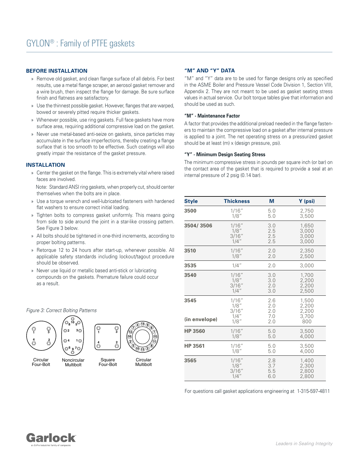### **BEFORE INSTALLATION**

- » Remove old gasket, and clean flange surface of all debris. For best results, use a metal flange scraper, an aerosol gasket remover and a wire brush, then inspect the flange for damage. Be sure surface finish and flatness are satisfactory.
- » Use the thinnest possible gasket. However, flanges that are warped, bowed or severely pitted require thicker gaskets.
- » Whenever possible, use ring gaskets. Full face gaskets have more surface area, requiring additional compressive load on the gasket.
- » Never use metal-based anti-seize on gaskets, since particles may accumulate in the surface imperfections, thereby creating a flange surface that is too smooth to be effective. Such coatings will also greatly impair the resistance of the gasket pressure.

### **INSTALLATION**

» Center the gasket on the flange. This is extremely vital where raised faces are involved.

 Note: Standard ANSI ring gaskets, when properly cut, should center themselves when the bolts are in place.

- » Use a torque wrench and well-lubricated fasteners with hardened flat washers to ensure correct initial loading.
- » Tighten bolts to compress gasket uniformly. This means going from side to side around the joint in a star-like crossing pattern. See Figure 3 below.
- » All bolts should be tightened in one-third increments, according to proper bolting patterns.
- » Retorque 12 to 24 hours after start-up, whenever possible. All applicable safety standards including lockout/tagout procedure should be observed.
- » Never use liquid or metallic based anti-stick or lubricating compounds on the gaskets. Premature failure could occur as a result.



### **"M" AND "Y" DATA**

"M" and "Y" data are to be used for flange designs only as specified in the ASME Boiler and Pressure Vessel Code Division 1, Section VIII, Appendix 2. They are not meant to be used as gasket seating stress values in actual service. Our bolt torque tables give that information and should be used as such.

#### **"M" - Maintenance Factor**

A factor that provides the additional preload needed in the flange fasteners to maintain the compressive load on a gasket after internal pressure is applied to a joint. The net operating stress on a pressurized gasket should be at least (m) x (design pressure, psi).

### **"Y" - Minimum Design Seating Stress**

The minimum compressive stress in pounds per square inch (or bar) on the contact area of the gasket that is required to provide a seal at an internal pressure of 2 psig (0.14 bar).

| <b>Style</b>          | <b>Thickness</b>                             | М                               | Y (psi)                                 |
|-----------------------|----------------------------------------------|---------------------------------|-----------------------------------------|
| 3500                  | 1/16"                                        | 5.0                             | 2,750                                   |
|                       | $1/8$ "                                      | 5.0                             | 3,500                                   |
| 3504/3506             | 1/16"                                        | 3.0                             | 1,650                                   |
|                       | $1/8$ "                                      | 2.5                             | 3,000                                   |
|                       | 3/16"                                        | 2.5                             | 3,000                                   |
|                       | $1/4$ "                                      | 2.5                             | 3,000                                   |
| 3510                  | 1/16"                                        | 2.0                             | 2,350                                   |
|                       | $1/8$ "                                      | 2.0                             | 2,500                                   |
| 3535                  | $1/4$ "                                      | 2.0                             | 3,000                                   |
| 3540                  | 1/16"                                        | 3.0                             | 1,700                                   |
|                       | $1/8$ "                                      | 3.0                             | 2,200                                   |
|                       | 3/16"                                        | 2.0                             | 2,200                                   |
|                       | $1/4$ "                                      | 3.0                             | 2,500                                   |
| 3545<br>(in envelope) | 1/16"<br>1/8"<br>3/16"<br>$1/4$ "<br>$1/8$ " | 2.6<br>2.0<br>2.0<br>7.0<br>2.0 | 1,500<br>2,200<br>2,200<br>3,700<br>800 |
| <b>HP 3560</b>        | 1/16"                                        | 5.0                             | 3,500                                   |
|                       | $1/8$ "                                      | 5.0                             | 4,000                                   |
| <b>HP 3561</b>        | 1/16"                                        | 5.0                             | 3,500                                   |
|                       | $1/8$ "                                      | 5.0                             | 4,000                                   |
| 3565                  | 1/16"                                        | 2.8                             | 1,400                                   |
|                       | $1/8$ "                                      | 3.7                             | 2,300                                   |
|                       | 3/16"                                        | 5.5                             | 2,800                                   |
|                       | $1/4$ "                                      | 6.0                             | 2,800                                   |

For questions call gasket applications engineering at 1-315-597-4811





Figure 3: Correct Bolting Patterns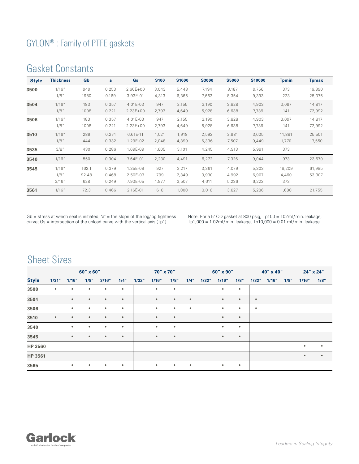# Gasket Constants

| <b>Style</b> | <b>Thickness</b>        | Gb                    | a                       | Gs                               | <b>S100</b>         | <b>S1000</b>            | <b>S3000</b>            | <b>S5000</b>            | <b>S10000</b>           | <b>Tpmin</b>           | <b>Tpmax</b>     |
|--------------|-------------------------|-----------------------|-------------------------|----------------------------------|---------------------|-------------------------|-------------------------|-------------------------|-------------------------|------------------------|------------------|
| 3500         | 1/16"<br>1/8"           | 949<br>1980           | 0.253<br>0.169          | $2.60E + 00$<br>3.93E-01         | 3,043<br>4,313      | 5,448<br>6,365          | 7,194<br>7,663          | 8,187<br>8,354          | 9,756<br>9,393          | 373<br>223             | 16,890<br>25,375 |
| 3504         | 1/16''<br>$1/8$ "       | 183<br>1008           | 0.357<br>0.221          | 4.01E-03<br>$2.23E + 00$         | 947<br>2,793        | 2,155<br>4,649          | 3,190<br>5,928          | 3,828<br>6,638          | 4,903<br>7,739          | 3,097<br>141           | 14,817<br>72,992 |
| 3506         | 1/16''<br>1/8"          | 183<br>1008           | 0.357<br>0.221          | 4.01E-03<br>$2.23E + 00$         | 947<br>2,793        | 2,155<br>4,649          | 3,190<br>5,928          | 3,828<br>6,638          | 4,903<br>7,739          | 3,097<br>141           | 14,817<br>72,992 |
| 3510         | 1/16"<br>1/8"           | 289<br>444            | 0.274<br>0.332          | 6.61E-11<br>1.29E-02             | 1,021<br>2,048      | 1,918<br>4,399          | 2,592<br>6,336          | 2,981<br>7,507          | 3,605<br>9,449          | 11,881<br>1,770        | 25,501<br>17,550 |
| 3535         | $3/8$ "                 | 430                   | 0.286                   | 1.69E-09                         | 1,605               | 3,101                   | 4,245                   | 4,913                   | 5,991                   | 373                    |                  |
| 3540         | 1/16''                  | 550                   | 0.304                   | 7.64E-01                         | 2,230               | 4,491                   | 6,272                   | 7,326                   | 9,044                   | 973                    | 23,670           |
| 3545         | 1/16"<br>1/8"<br>3/16'' | 162.1<br>92.48<br>628 | 0.379<br>0.468<br>0.249 | 1.35E-09<br>2.50E-03<br>7.93E-05 | 927<br>799<br>1.977 | 2,217<br>2,349<br>3,507 | 3,361<br>3,930<br>4,611 | 4,079<br>4,992<br>5,236 | 5,303<br>6,907<br>6,222 | 18,209<br>4,460<br>373 | 61,985<br>53,307 |
| 3561         | 1/16"                   | 72.3                  | 0.466                   | 2.16E-01                         | 618                 | 1,808                   | 3,016                   | 3,827                   | 5,286                   | 1,688                  | 21,755           |

Gb = stress at which seal is initiated; "a" = the slope of the log/log tightness curve; Gs = intersection of the unload curve with the vertical axis (Tp1).

Note: For a 5" OD gasket at 800 psig, Tp100 = 102ml/min. leakage, Tp1,000 = 1.02ml / min. leakage, Tp10,000 = 0.01 ml / min. leakage.

# Sheet Sizes

|                | 60" x 60" |           |           |           | 70" x 70" |        |           |           | 60" x 90" |        |           | 40" x 40" |           |       | 24" x 24" |                         |           |
|----------------|-----------|-----------|-----------|-----------|-----------|--------|-----------|-----------|-----------|--------|-----------|-----------|-----------|-------|-----------|-------------------------|-----------|
| <b>Style</b>   | 1/31''    | 1/16''    | 1/8''     | 3/16''    | 1/4''     | 1/32'' | 1/16''    | 1/8''     | 1/4"      | 1/32'' | 1/16''    | 1/8''     | 1/32''    | 1/16" | 1/8''     | 1/16''                  | 1/8''     |
| 3500           | $\bullet$ | $\bullet$ | $\bullet$ | $\bullet$ | $\bullet$ |        | $\bullet$ | $\bullet$ |           |        | $\bullet$ | $\bullet$ |           |       |           |                         |           |
| 3504           |           | $\bullet$ | $\bullet$ | $\bullet$ | $\bullet$ |        | $\bullet$ | $\bullet$ | $\bullet$ |        | $\bullet$ | $\bullet$ | $\bullet$ |       |           |                         |           |
| 3506           |           | $\bullet$ | $\bullet$ | $\bullet$ | $\bullet$ |        | $\bullet$ | $\bullet$ | $\bullet$ |        | $\bullet$ | $\bullet$ | $\bullet$ |       |           |                         |           |
| 3510           | $\bullet$ | $\bullet$ | $\bullet$ | $\bullet$ | $\bullet$ |        | $\bullet$ | $\bullet$ |           |        | $\bullet$ | $\bullet$ |           |       |           |                         |           |
| 3540           |           | $\bullet$ | $\bullet$ | $\bullet$ | $\bullet$ |        | $\bullet$ | $\bullet$ |           |        | $\bullet$ | $\bullet$ |           |       |           |                         |           |
| 3545           |           | $\bullet$ | $\bullet$ | $\bullet$ | $\bullet$ |        | $\bullet$ | $\bullet$ |           |        | $\bullet$ | $\bullet$ |           |       |           |                         |           |
| <b>HP 3560</b> |           |           |           |           |           |        |           |           |           |        |           |           |           |       |           | ٠                       | $\bullet$ |
| HP 3561        |           |           |           |           |           |        |           |           |           |        |           |           |           |       |           | $\qquad \qquad \bullet$ | $\bullet$ |
| 3565           |           | $\bullet$ | $\bullet$ | $\bullet$ | $\bullet$ |        | $\bullet$ | $\bullet$ | $\bullet$ |        | $\bullet$ | $\bullet$ |           |       |           |                         |           |